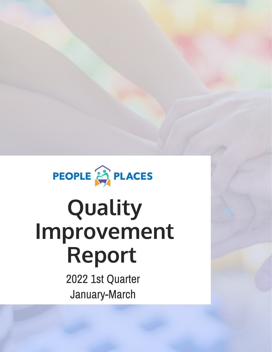

# **Quality Improvement Report**

2022 1st Quarter January-March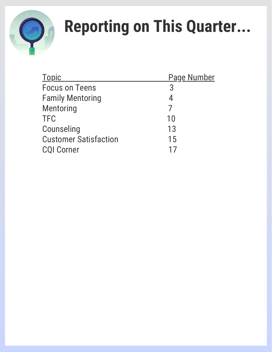

# **Reporting on This Quarter...**

| <b>Topic</b>                 | <b>Page Number</b> |
|------------------------------|--------------------|
| <b>Focus on Teens</b>        | 3                  |
| <b>Family Mentoring</b>      | 4                  |
| Mentoring                    |                    |
| <b>TFC</b>                   | 10                 |
| Counseling                   | 13                 |
| <b>Customer Satisfaction</b> | 15                 |
| <b>CQI Corner</b>            |                    |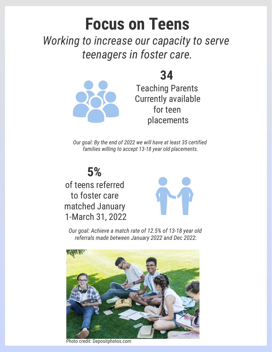## **Focus on Teens**

*Working to increase our capacity to serve teenagers in foster care.*

Teaching Parents Currently available for teen placements

**34** 

*Our goal: By the end of 2022 we will have at least 35 certified families willing to accept 13-18 year old placements.*

**5%**

of teens referred to foster care matched January 1-March 31, 2022



*Our goal: Achieve a match rate of 12.5% of 13-18 year old referrals made between January 2022 and Dec 2022.*



Photo credit: Depositphotos.com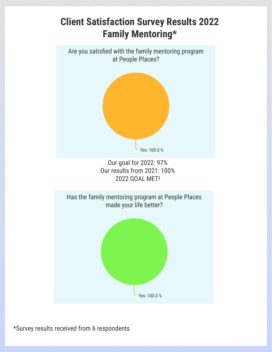

\*Survey results received from 6 respondents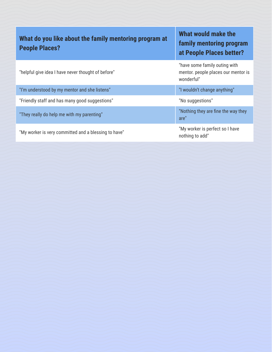| What do you like about the family mentoring program at | <b>What Wo</b> |
|--------------------------------------------------------|----------------|
|                                                        | family m       |
| <b>People Places?</b>                                  |                |
|                                                        | at People      |
|                                                        |                |

"helpful give idea I have never thought of before"

"I'm understood by my mentor and she listens" "I wouldn't change anything"

"Friendly staff and has many good suggestions" "No suggestions"

"My worker is very committed and a blessing to have" "My worker is perfect so I have

### **uld make the** *<u><b>i*</u> entoring program **a** Places better?

"have some family outing with mentor. people places our mentor is wonderful"

"They really do help me with my parenting"  $\blacksquare$ "Nothing they are fine the way they are"

nothing to add"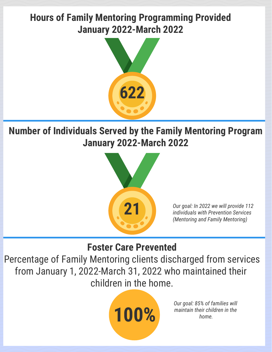### **Hours of Family Mentoring Programming Provided January 2022-March 2022**



**Number of Individuals Served by the Family Mentoring Program January 2022-March 2022**



*Our goal: In 2022 we will provide 112 individuals with Prevention Services (Mentoring and Family Mentoring)*

### **Foster Care Prevented**

Percentage of Family Mentoring clients discharged from services from January 1, 2022-March 31, 2022 who maintained their children in the home.



*Our goal: 85% of families will maintain their children in the home.*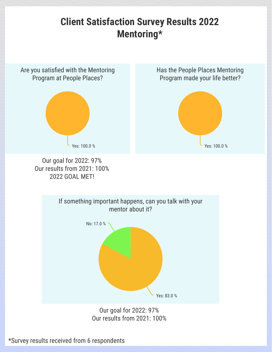### **Client Satisfaction Survey Results 2022 Mentoring\***



\*Survey results received from 6 respondents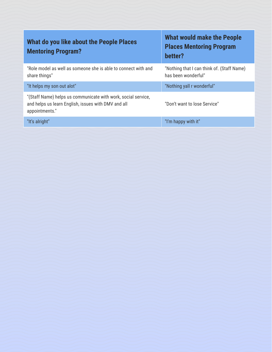| What do you like about the People Places<br><b>Mentoring Program?</b>                                                                  | <b>What would make the People</b><br><b>Places Mentoring Program</b><br>better? |
|----------------------------------------------------------------------------------------------------------------------------------------|---------------------------------------------------------------------------------|
| "Role model as well as someone she is able to connect with and<br>share things"                                                        | "Nothing that I can think of. (Staff Name)<br>has been wonderful"               |
| "It helps my son out alot"                                                                                                             | "Nothing yall r wonderful"                                                      |
| "(Staff Name) helps us communicate with work, social service,<br>and helps us learn English, issues with DMV and all<br>appointments." | "Don't want to lose Service"                                                    |
| "It's alright"                                                                                                                         | "I'm happy with it"                                                             |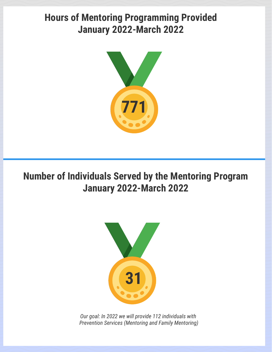### **Hours of Mentoring Programming Provided January 2022-March 2022**



**Number of Individuals Served by the Mentoring Program January 2022-March 2022**

People reached to date



*Our goal: In 2022 we will provide 112 individuals with Prevention Services (Mentoring and Family Mentoring)*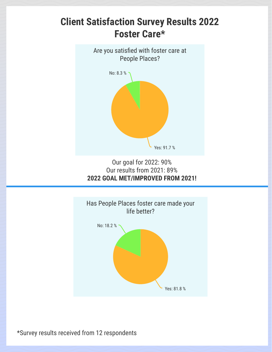## **Client Satisfaction Survey Results 2022 Foster Care\*** Are you satisfied with foster care at People Places? No: 8.3 %

Our goal for 2022: 90% Our results from 2021: 89% **2022 GOAL MET/IMPROVED FROM 2021!**

Yes: 91.7 %



\*Survey results received from 12 respondents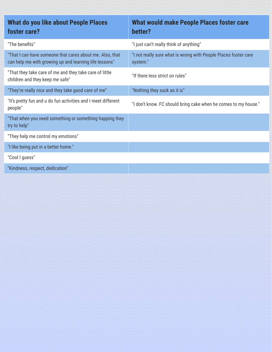| What do you like about People Places<br>foster care?                                                               | What would make People Places foster care<br>better?                        |
|--------------------------------------------------------------------------------------------------------------------|-----------------------------------------------------------------------------|
| "The benefits"                                                                                                     | "I just can't really think of anything"                                     |
| "That I can have someone that cares about me. Also, that<br>can help me with growing up and learning life lessons" | "I not really sure what is wrong with People Places foster care<br>system." |
| "That they take care of me and they take care of little<br>children and they keep me safe"                         | "If there less strict on rules"                                             |
| "They're really nice and they take good care of me"                                                                | "Nothing they suck as it is"                                                |
| "It's pretty fun and u do fun activities and I meet different<br>people"                                           | "I don't know. FC should bring cake when he comes to my house."             |
| "That when you need something or something happing they<br>try to help"                                            |                                                                             |
| "They help me control my emotions"                                                                                 |                                                                             |
| "I like being put in a better home."                                                                               |                                                                             |
| "Cool I guess"                                                                                                     |                                                                             |
| "Kindness, respect, dedication"                                                                                    |                                                                             |
|                                                                                                                    |                                                                             |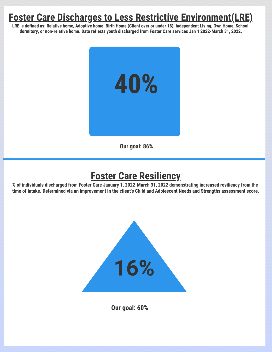### **Foster Care Discharges to Less Restrictive Environment(LRE)**

**LRE is defined as: Relative home, Adoptive home, Birth Home (Client over or under 18), Independent Living, Own Home, School dormitory, or non-relative home. Data reflects youth discharged from Foster Care services Jan 1 2022-March 31, 2022.**



**Our goal: 86%**

### **Foster Care Resiliency**

People reached to date

**% of individuals discharged from Foster Care January 1, 2022-March 31, 2022 demonstrating increased resiliency from the time of intake. Determined via an improvement in the client's Child and Adolescent Needs and Strengths assessment score.**



**Our goal: 60%**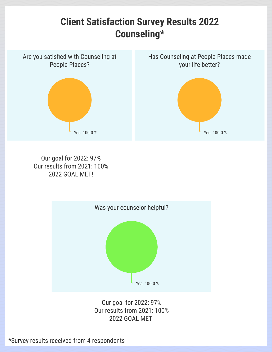

 $P_0$ eople reached to date to date to date to date to date to date to date to date to date to date to date to date to date to date to date to date to date to date to date to date to date to date to date to date to date to Our goal for 2022: 97% Our results from 2021: 100% 2022 GOAL MET!



Our goal for 2022: 97% Our results from 2021: 100% 2022 GOAL MET!

\*Survey results received from 4 respondents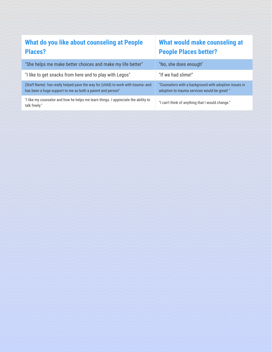### **What do you like about counseling at People Places?**

### **What would make counseling at People Places better?**

| "She helps me make better choices and make my life better"                                                                                    | "No, she does enough"                                                                       |
|-----------------------------------------------------------------------------------------------------------------------------------------------|---------------------------------------------------------------------------------------------|
| "I like to get snacks from here and to play with Legos"                                                                                       | "If we had slime!"                                                                          |
| (Staff Name) has really helped pave the way for (child) to work with trauma-and<br>has been a huge support to me as both a parent and person" | "Counselors with a background with adoption<br>adoption to trauma services would be great!" |
| "I like my counselor and how he helps me learn things. I appreciate the ability to<br>talk freely."                                           | "I can't think of anything that I would change."                                            |

background with adoption issues in services would be great!"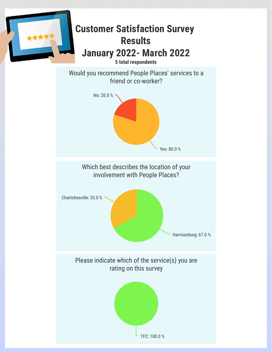